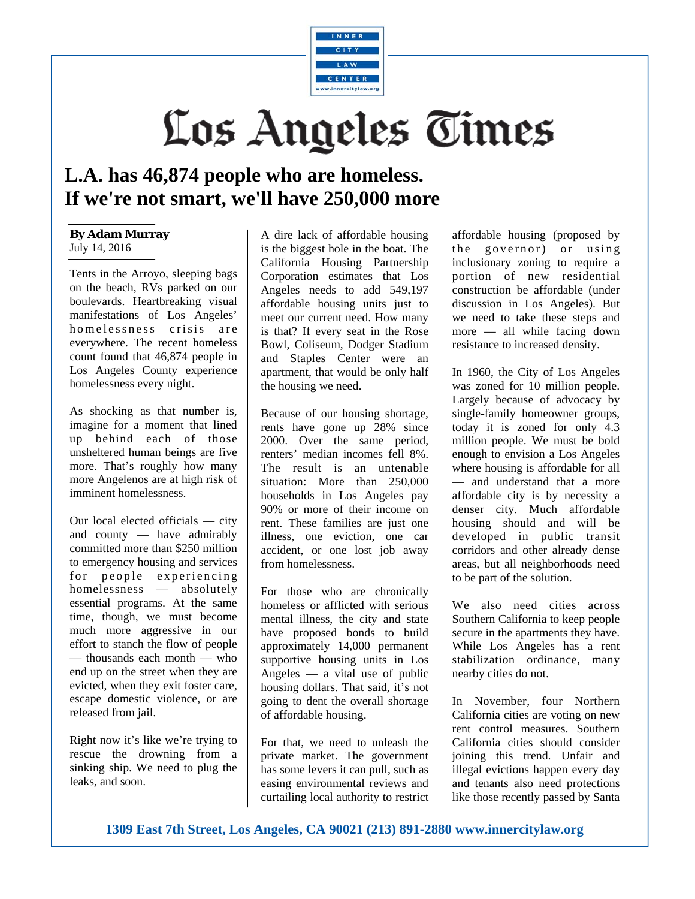

## Los Angeles Times

## **L.A. has 46,874 people who are homeless. If we're not smart, we'll have 250,000 more**

## **By Adam Murray**  July 14, 2016

Tents in the Arroyo, sleeping bags on the beach, RVs parked on our boulevards. Heartbreaking visual manifestations of Los Angeles' homelessness crisis are everywhere. The recent homeless count found that 46,874 people in Los Angeles County experience homelessness every night.

As shocking as that number is, imagine for a moment that lined up behind each of those unsheltered human beings are five more. That's roughly how many more Angelenos are at high risk of imminent homelessness.

Our local elected officials — city and county — have admirably committed more than \$250 million to emergency housing and services for people experiencing homelessness — absolutely essential programs. At the same time, though, we must become much more aggressive in our effort to stanch the flow of people — thousands each month — who end up on the street when they are evicted, when they exit foster care, escape domestic violence, or are released from jail.

Right now it's like we're trying to rescue the drowning from a sinking ship. We need to plug the leaks, and soon.

A dire lack of affordable housing is the biggest hole in the boat. The California Housing Partnership Corporation estimates that Los Angeles needs to add 549,197 affordable housing units just to meet our current need. How many is that? If every seat in the Rose Bowl, Coliseum, Dodger Stadium and Staples Center were an apartment, that would be only half the housing we need.

Because of our housing shortage, rents have gone up 28% since 2000. Over the same period, renters' median incomes fell 8%. The result is an untenable situation: More than 250,000 households in Los Angeles pay 90% or more of their income on rent. These families are just one illness, one eviction, one car accident, or one lost job away from homelessness.

For those who are chronically homeless or afflicted with serious mental illness, the city and state have proposed bonds to build approximately 14,000 permanent supportive housing units in Los Angeles — a vital use of public housing dollars. That said, it's not going to dent the overall shortage of affordable housing.

For that, we need to unleash the private market. The government has some levers it can pull, such as easing environmental reviews and curtailing local authority to restrict affordable housing (proposed by the governor) or using inclusionary zoning to require a portion of new residential construction be affordable (under discussion in Los Angeles). But we need to take these steps and more — all while facing down resistance to increased density.

In 1960, the City of Los Angeles was zoned for 10 million people. Largely because of advocacy by single-family homeowner groups, today it is zoned for only 4.3 million people. We must be bold enough to envision a Los Angeles where housing is affordable for all — and understand that a more affordable city is by necessity a denser city. Much affordable housing should and will be developed in public transit corridors and other already dense areas, but all neighborhoods need to be part of the solution.

We also need cities across Southern California to keep people secure in the apartments they have. While Los Angeles has a rent stabilization ordinance, many nearby cities do not.

In November, four Northern California cities are voting on new rent control measures. Southern California cities should consider joining this trend. Unfair and illegal evictions happen every day and tenants also need protections like those recently passed by Santa

**1309 East 7th Street, Los Angeles, CA 90021 (213) 891-2880 www.innercitylaw.org**